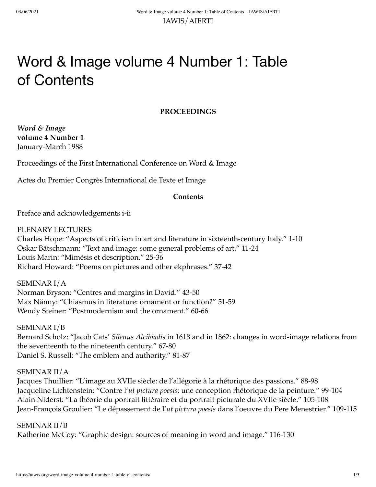# Word & Image volume 4 Number 1: Table of Contents

# **PROCEEDINGS**

*Word & Image* **volume 4 Number 1** January-March 1988

Proceedings of the First International Conference on Word & Image

Actes du Premier Congrès International de Texte et Image

# **Contents**

Preface and acknowledgements i-ii

PLENARY LECTURES

Charles Hope: "Aspects of criticism in art and literature in sixteenth-century Italy." 1-10 Oskar Bätschmann: "Text and image: some general problems of art." 11-24 Louis Marin: "Mimésis et description." 25-36 Richard Howard: "Poems on pictures and other ekphrases." 37-42

SEMINAR I/A Norman Bryson: "Centres and margins in David." 43-50 Max Nänny: "Chiasmus in literature: ornament or function?" 51-59 Wendy Steiner: "Postmodernism and the ornament." 60-66

SEMINAR I/B Bernard Scholz: "Jacob Cats' *Silenus Alcibiadis* in 1618 and in 1862: changes in word-image relations from the seventeenth to the nineteenth century." 67-80 Daniel S. Russell: "The emblem and authority." 81-87

# SEMINAR II/A

Jacques Thuillier: "L'image au XVIIe siècle: de l'allégorie à la rhétorique des passions." 88-98 Jacqueline Lichtenstein: "Contre l'*ut pictura poesis*: une conception rhétorique de la peinture." 99-104 Alain Niderst: "La théorie du portrait littéraire et du portrait picturale du XVIIe siècle." 105-108 Jean-François Groulier: "Le dépassement de l'*ut pictura poesis* dans l'oeuvre du Pere Menestrier." 109-115

SEMINAR II/B Katherine McCoy: "Graphic design: sources of meaning in word and image." 116-130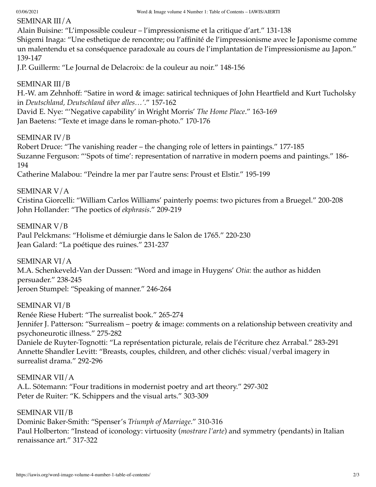# SEMINAR III/A

Alain Buisine: "L'impossible couleur – l'impressionisme et la critique d'art." 131-138

Shigemi Inaga: "Une esthetique de rencontre; ou l'affinité de l'impressionisme avec le Japonisme comme un malentendu et sa conséquence paradoxale au cours de l'implantation de l'impressionisme au Japon." 139-147

J.P. Guillerm: "Le Journal de Delacroix: de la couleur au noir." 148-156

# SEMINAR III/B

H.-W. am Zehnhoff: "Satire in word & image: satirical techniques of John Heartfield and Kurt Tucholsky in *Deutschland, Deutschland über alles…'*." 157-162

David E. Nye: "'Negative capability' in Wright Morris' *The Home Place*." 163-169 Jan Baetens: "Texte et image dans le roman-photo." 170-176

# SEMINAR IV/B

Robert Druce: "The vanishing reader – the changing role of letters in paintings." 177-185 Suzanne Ferguson: "'Spots of time': representation of narrative in modern poems and paintings." 186- 194

Catherine Malabou: "Peindre la mer par l'autre sens: Proust et Elstir." 195-199

SEMINAR V/A

Cristina Giorcelli: "William Carlos Williams' painterly poems: two pictures from a Bruegel." 200-208 John Hollander: "The poetics of *ekphrasis*." 209-219

SEMINAR V/B

Paul Pelckmans: "Holisme et démiurgie dans le Salon de 1765." 220-230 Jean Galard: "La poétique des ruines." 231-237

SEMINAR VI/A

M.A. Schenkeveld-Van der Dussen: "Word and image in Huygens' *Otia*: the author as hidden persuader." 238-245 Jeroen Stumpel: "Speaking of manner." 246-264

SEMINAR VI/B Renée Riese Hubert: "The surrealist book." 265-274 Jennifer J. Patterson: "Surrealism – poetry & image: comments on a relationship between creativity and psychoneurotic illness." 275-282 Daniele de Ruyter-Tognotti: "La représentation picturale, relais de l'écriture chez Arrabal." 283-291 Annette Shandler Levitt: "Breasts, couples, children, and other clichés: visual/verbal imagery in surrealist drama." 292-296

SEMINAR VII/A A.L. Sötemann: "Four traditions in modernist poetry and art theory." 297-302 Peter de Ruiter: "K. Schippers and the visual arts." 303-309

SEMINAR VII/B Dominic Baker-Smith: "Spenser's *Triumph of Marriage*." 310-316 Paul Holberton: "Instead of iconology: virtuosity (*mostrare l'arte*) and symmetry (pendants) in Italian renaissance art." 317-322